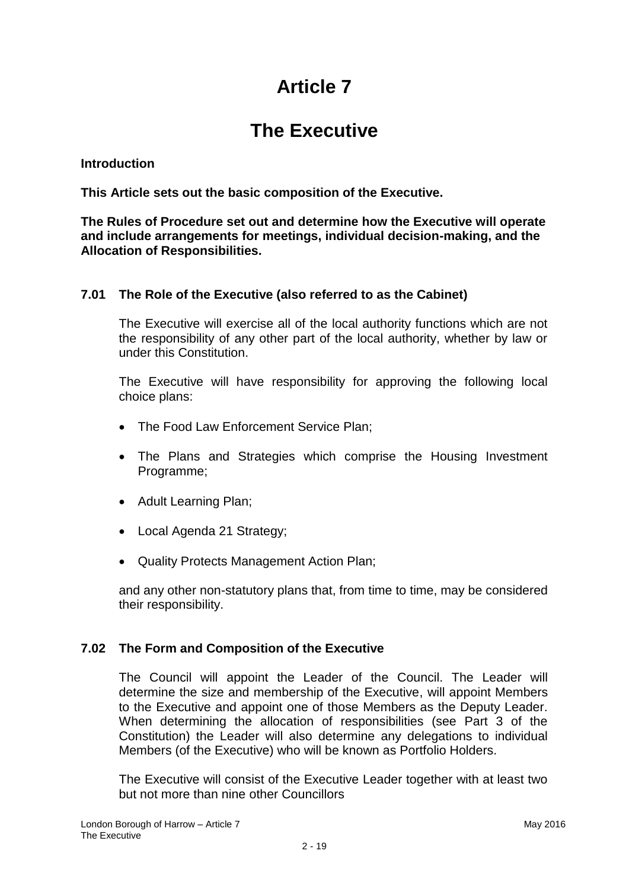# **Article 7**

## **The Executive**

#### **Introduction**

**This Article sets out the basic composition of the Executive.**

**The Rules of Procedure set out and determine how the Executive will operate and include arrangements for meetings, individual decision-making, and the Allocation of Responsibilities.**

## **7.01 The Role of the Executive (also referred to as the Cabinet)**

The Executive will exercise all of the local authority functions which are not the responsibility of any other part of the local authority, whether by law or under this Constitution.

The Executive will have responsibility for approving the following local choice plans:

- The Food Law Enforcement Service Plan;
- The Plans and Strategies which comprise the Housing Investment Programme;
- Adult Learning Plan;
- Local Agenda 21 Strategy;
- Quality Protects Management Action Plan;

and any other non-statutory plans that, from time to time, may be considered their responsibility.

#### **7.02 The Form and Composition of the Executive**

The Council will appoint the Leader of the Council. The Leader will determine the size and membership of the Executive, will appoint Members to the Executive and appoint one of those Members as the Deputy Leader. When determining the allocation of responsibilities (see Part 3 of the Constitution) the Leader will also determine any delegations to individual Members (of the Executive) who will be known as Portfolio Holders.

The Executive will consist of the Executive Leader together with at least two but not more than nine other Councillors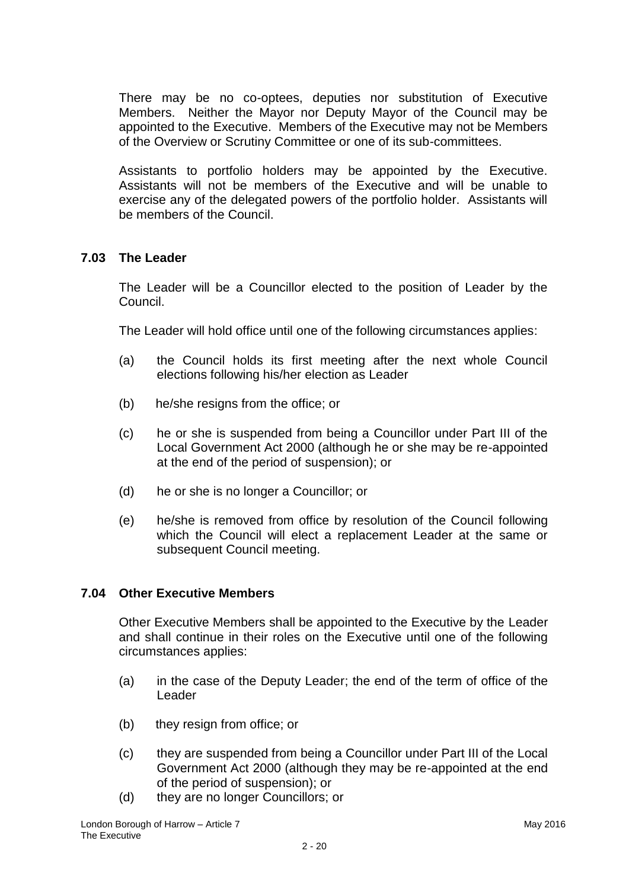There may be no co-optees, deputies nor substitution of Executive Members. Neither the Mayor nor Deputy Mayor of the Council may be appointed to the Executive. Members of the Executive may not be Members of the Overview or Scrutiny Committee or one of its sub-committees.

Assistants to portfolio holders may be appointed by the Executive. Assistants will not be members of the Executive and will be unable to exercise any of the delegated powers of the portfolio holder. Assistants will be members of the Council.

## **7.03 The Leader**

The Leader will be a Councillor elected to the position of Leader by the Council.

The Leader will hold office until one of the following circumstances applies:

- (a) the Council holds its first meeting after the next whole Council elections following his/her election as Leader
- (b) he/she resigns from the office; or
- (c) he or she is suspended from being a Councillor under Part III of the Local Government Act 2000 (although he or she may be re-appointed at the end of the period of suspension); or
- (d) he or she is no longer a Councillor; or
- (e) he/she is removed from office by resolution of the Council following which the Council will elect a replacement Leader at the same or subsequent Council meeting.

#### **7.04 Other Executive Members**

Other Executive Members shall be appointed to the Executive by the Leader and shall continue in their roles on the Executive until one of the following circumstances applies:

- (a) in the case of the Deputy Leader; the end of the term of office of the Leader
- (b) they resign from office; or
- (c) they are suspended from being a Councillor under Part III of the Local Government Act 2000 (although they may be re-appointed at the end of the period of suspension); or
- (d) they are no longer Councillors; or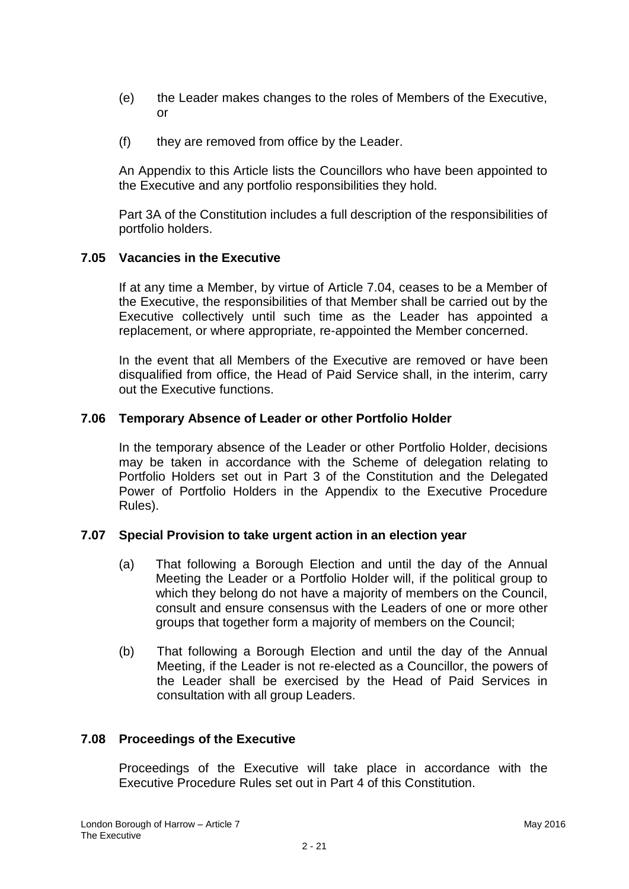- (e) the Leader makes changes to the roles of Members of the Executive, or
- (f) they are removed from office by the Leader.

An Appendix to this Article lists the Councillors who have been appointed to the Executive and any portfolio responsibilities they hold.

Part 3A of the Constitution includes a full description of the responsibilities of portfolio holders.

#### **7.05 Vacancies in the Executive**

If at any time a Member, by virtue of Article 7.04, ceases to be a Member of the Executive, the responsibilities of that Member shall be carried out by the Executive collectively until such time as the Leader has appointed a replacement, or where appropriate, re-appointed the Member concerned.

In the event that all Members of the Executive are removed or have been disqualified from office, the Head of Paid Service shall, in the interim, carry out the Executive functions.

## **7.06 Temporary Absence of Leader or other Portfolio Holder**

In the temporary absence of the Leader or other Portfolio Holder, decisions may be taken in accordance with the Scheme of delegation relating to Portfolio Holders set out in Part 3 of the Constitution and the Delegated Power of Portfolio Holders in the Appendix to the Executive Procedure Rules).

#### **7.07 Special Provision to take urgent action in an election year**

- (a) That following a Borough Election and until the day of the Annual Meeting the Leader or a Portfolio Holder will, if the political group to which they belong do not have a majority of members on the Council, consult and ensure consensus with the Leaders of one or more other groups that together form a majority of members on the Council;
- (b) That following a Borough Election and until the day of the Annual Meeting, if the Leader is not re-elected as a Councillor, the powers of the Leader shall be exercised by the Head of Paid Services in consultation with all group Leaders.

## **7.08 Proceedings of the Executive**

Proceedings of the Executive will take place in accordance with the Executive Procedure Rules set out in Part 4 of this Constitution.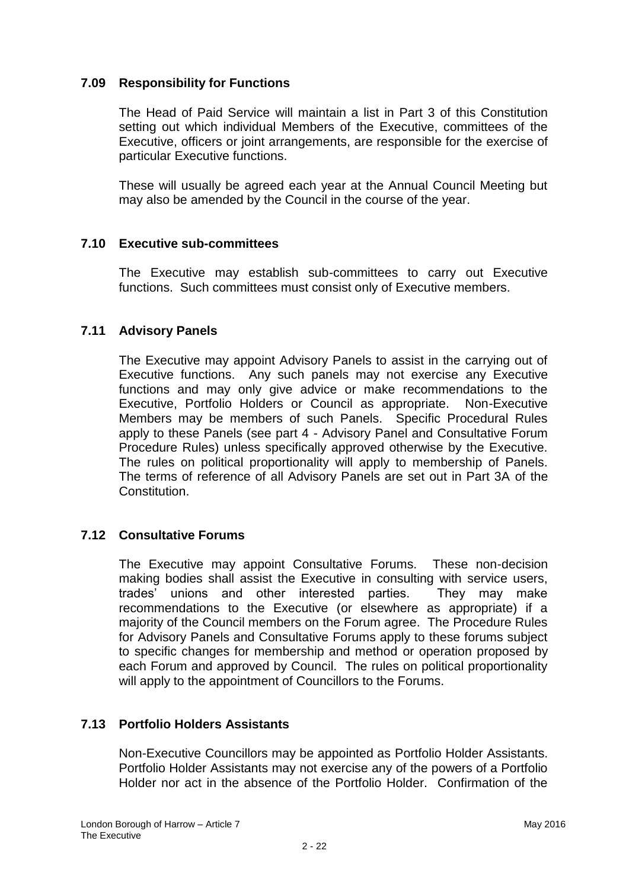## **7.09 Responsibility for Functions**

The Head of Paid Service will maintain a list in Part 3 of this Constitution setting out which individual Members of the Executive, committees of the Executive, officers or joint arrangements, are responsible for the exercise of particular Executive functions.

These will usually be agreed each year at the Annual Council Meeting but may also be amended by the Council in the course of the year.

## **7.10 Executive sub-committees**

The Executive may establish sub-committees to carry out Executive functions. Such committees must consist only of Executive members.

## **7.11 Advisory Panels**

The Executive may appoint Advisory Panels to assist in the carrying out of Executive functions. Any such panels may not exercise any Executive functions and may only give advice or make recommendations to the Executive, Portfolio Holders or Council as appropriate. Non-Executive Members may be members of such Panels. Specific Procedural Rules apply to these Panels (see part 4 - Advisory Panel and Consultative Forum Procedure Rules) unless specifically approved otherwise by the Executive. The rules on political proportionality will apply to membership of Panels. The terms of reference of all Advisory Panels are set out in Part 3A of the Constitution.

#### **7.12 Consultative Forums**

The Executive may appoint Consultative Forums. These non-decision making bodies shall assist the Executive in consulting with service users, trades' unions and other interested parties. They may make recommendations to the Executive (or elsewhere as appropriate) if a majority of the Council members on the Forum agree. The Procedure Rules for Advisory Panels and Consultative Forums apply to these forums subject to specific changes for membership and method or operation proposed by each Forum and approved by Council. The rules on political proportionality will apply to the appointment of Councillors to the Forums.

#### **7.13 Portfolio Holders Assistants**

Non-Executive Councillors may be appointed as Portfolio Holder Assistants. Portfolio Holder Assistants may not exercise any of the powers of a Portfolio Holder nor act in the absence of the Portfolio Holder. Confirmation of the